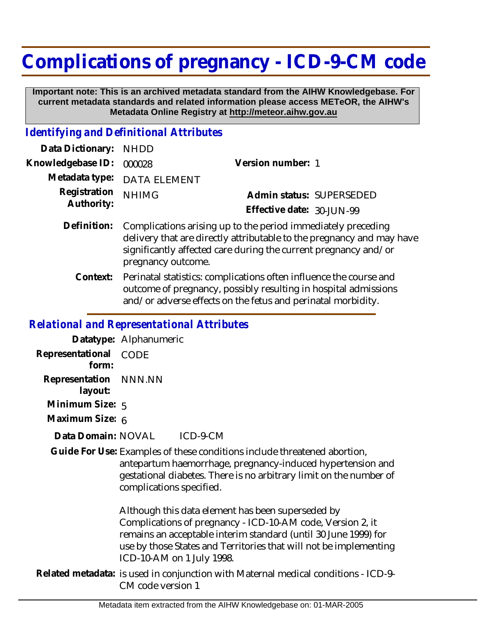## **Complications of pregnancy - ICD-9-CM code**

 **Important note: This is an archived metadata standard from the AIHW Knowledgebase. For current metadata standards and related information please access METeOR, the AIHW's Metadata Online Registry at http://meteor.aihw.gov.au**

## *Identifying and Definitional Attributes*

| Data Dictionary: NHDD      |                                                                                                                                       |                           |                          |
|----------------------------|---------------------------------------------------------------------------------------------------------------------------------------|---------------------------|--------------------------|
| Knowledgebase ID: 000028   |                                                                                                                                       | Version number: 1         |                          |
|                            | Metadata type: DATA ELEMENT                                                                                                           |                           |                          |
| Registration<br>Authority: | <b>NHIMG</b>                                                                                                                          |                           | Admin status: SUPERSEDED |
|                            |                                                                                                                                       | Effective date: 30-JUN-99 |                          |
| Definition:                | Complications arising up to the period immediately preceding<br>delivery that are directly attributable to the pregnancy and may have |                           |                          |

- significantly affected care during the current pregnancy and/or pregnancy outcome. Perinatal statistics: complications often influence the course and **Context:**
- outcome of pregnancy, possibly resulting in hospital admissions and/or adverse effects on the fetus and perinatal morbidity.

## *Relational and Representational Attributes*

**Datatype:** Alphanumeric

**Representational** CODE  **form:**

**Representation** NNN.NN

 **layout:**

**Minimum Size:** 5

**Maximum Size:** 6

ICD-9-CM **Data Domain:**

Guide For Use: Examples of these conditions include threatened abortion, antepartum haemorrhage, pregnancy-induced hypertension and gestational diabetes. There is no arbitrary limit on the number of complications specified.

> Although this data element has been superseded by Complications of pregnancy - ICD-10-AM code, Version 2, it remains an acceptable interim standard (until 30 June 1999) for use by those States and Territories that will not be implementing ICD-10-AM on 1 July 1998.

Related metadata: is used in conjunction with Maternal medical conditions - ICD-9-CM code version 1